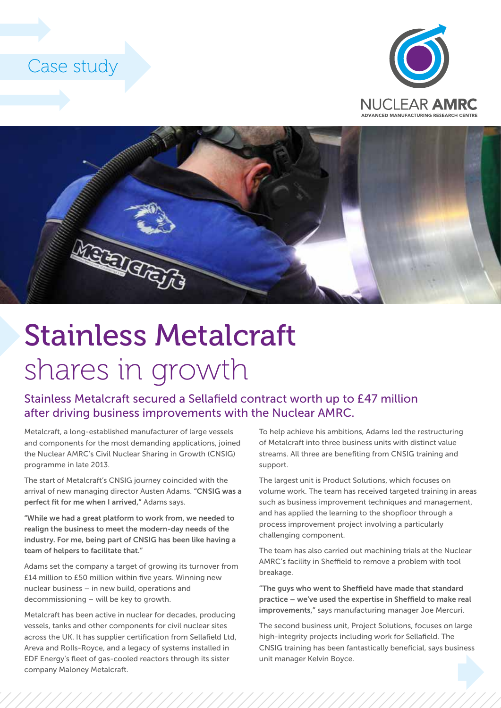### Case study





# Stainless Metalcraft shares in growth

### Stainless Metalcraft secured a Sellafield contract worth up to £47 million after driving business improvements with the Nuclear AMRC.

Metalcraft, a long-established manufacturer of large vessels and components for the most demanding applications, joined the Nuclear AMRC's Civil Nuclear Sharing in Growth (CNSIG) programme in late 2013.

The start of Metalcraft's CNSIG journey coincided with the arrival of new managing director Austen Adams. "CNSIG was a perfect fit for me when I arrived," Adams says.

"While we had a great platform to work from, we needed to realign the business to meet the modern-day needs of the industry. For me, being part of CNSIG has been like having a team of helpers to facilitate that."

Adams set the company a target of growing its turnover from £14 million to £50 million within five years. Winning new nuclear business – in new build, operations and decommissioning – will be key to growth.

Metalcraft has been active in nuclear for decades, producing vessels, tanks and other components for civil nuclear sites across the UK. It has supplier certification from Sellafield Ltd, Areva and Rolls-Royce, and a legacy of systems installed in EDF Energy's fleet of gas-cooled reactors through its sister company Maloney Metalcraft.

To help achieve his ambitions, Adams led the restructuring of Metalcraft into three business units with distinct value streams. All three are benefiting from CNSIG training and support.

The largest unit is Product Solutions, which focuses on volume work. The team has received targeted training in areas such as business improvement techniques and management, and has applied the learning to the shopfloor through a process improvement project involving a particularly challenging component.

The team has also carried out machining trials at the Nuclear AMRC's facility in Sheffield to remove a problem with tool breakage.

"The guys who went to Sheffield have made that standard practice – we've used the expertise in Sheffield to make real improvements," says manufacturing manager Joe Mercuri.

The second business unit, Project Solutions, focuses on large high-integrity projects including work for Sellafield. The CNSIG training has been fantastically beneficial, says business unit manager Kelvin Boyce.